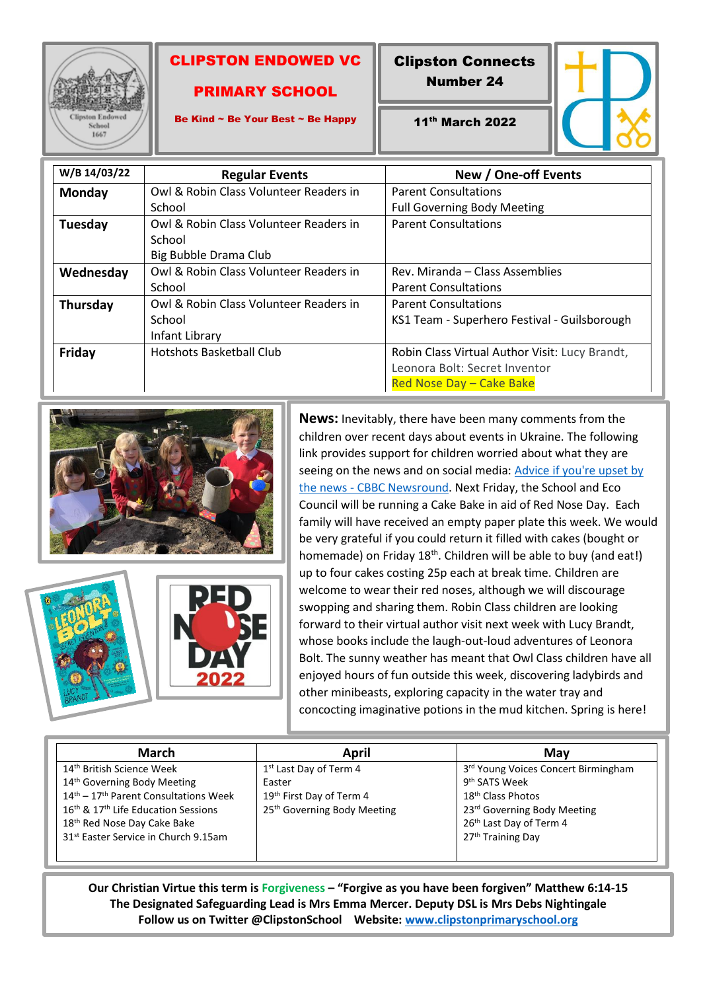

ı

## CLIPSTON ENDOWED VC

## PRIMARY SCHOOL

Clipston Connects

Number 24



Be Kind ~ Be Your Best ~ Be Happy

11th March 2022

| W/B 14/03/22    | <b>Regular Events</b>                  | New / One-off Events                           |
|-----------------|----------------------------------------|------------------------------------------------|
| <b>Monday</b>   | Owl & Robin Class Volunteer Readers in | <b>Parent Consultations</b>                    |
|                 | School                                 | <b>Full Governing Body Meeting</b>             |
| Tuesday         | Owl & Robin Class Volunteer Readers in | <b>Parent Consultations</b>                    |
|                 | School                                 |                                                |
|                 | Big Bubble Drama Club                  |                                                |
| Wednesday       | Owl & Robin Class Volunteer Readers in | Rev. Miranda – Class Assemblies                |
|                 | School                                 | <b>Parent Consultations</b>                    |
| <b>Thursday</b> | Owl & Robin Class Volunteer Readers in | <b>Parent Consultations</b>                    |
|                 | School                                 | KS1 Team - Superhero Festival - Guilsborough   |
|                 | Infant Library                         |                                                |
| Friday          | Hotshots Basketball Club               | Robin Class Virtual Author Visit: Lucy Brandt, |
|                 |                                        | Leonora Bolt: Secret Inventor                  |
|                 |                                        | Red Nose Day - Cake Bake                       |





**News:** Inevitably, there have been many comments from the children over recent days about events in Ukraine. The following link provides support for children worried about what they are seeing on the news and on social media: [Advice if you're upset by](https://www.bbc.co.uk/newsround/13865002)  the news - [CBBC Newsround.](https://www.bbc.co.uk/newsround/13865002) Next Friday, the School and Eco Council will be running a Cake Bake in aid of Red Nose Day. Each family will have received an empty paper plate this week. We would be very grateful if you could return it filled with cakes (bought or homemade) on Friday 18<sup>th</sup>. Children will be able to buy (and eat!) up to four cakes costing 25p each at break time. Children are welcome to wear their red noses, although we will discourage swopping and sharing them. Robin Class children are looking forward to their virtual author visit next week with Lucy Brandt, whose books include the laugh-out-loud adventures of Leonora Bolt. The sunny weather has meant that Owl Class children have all enjoyed hours of fun outside this week, discovering ladybirds and other minibeasts, exploring capacity in the water tray and concocting imaginative potions in the mud kitchen. Spring is here!

| <b>March</b>                                                                                                                                                                                                                                                                                        | April                                                                                                                           | Mav                                                                                                                                                                                                      |
|-----------------------------------------------------------------------------------------------------------------------------------------------------------------------------------------------------------------------------------------------------------------------------------------------------|---------------------------------------------------------------------------------------------------------------------------------|----------------------------------------------------------------------------------------------------------------------------------------------------------------------------------------------------------|
| 14 <sup>th</sup> British Science Week<br>14 <sup>th</sup> Governing Body Meeting<br>14 <sup>th</sup> – 17 <sup>th</sup> Parent Consultations Week<br>16 <sup>th</sup> & 17 <sup>th</sup> Life Education Sessions<br>18th Red Nose Day Cake Bake<br>31 <sup>st</sup> Easter Service in Church 9.15am | 1 <sup>st</sup> Last Day of Term 4<br>Easter<br>19 <sup>th</sup> First Day of Term 4<br>25 <sup>th</sup> Governing Body Meeting | 3rd Young Voices Concert Birmingham<br>9 <sup>th</sup> SATS Week<br>18 <sup>th</sup> Class Photos<br>23rd Governing Body Meeting<br>26 <sup>th</sup> Last Day of Term 4<br>27 <sup>th</sup> Training Day |

**Our Christian Virtue this term is Forgiveness – "Forgive as you have been forgiven" Matthew 6:14-15 The Designated Safeguarding Lead is Mrs Emma Mercer. Deputy DSL is Mrs Debs Nightingale Follow us on Twitter @ClipstonSchool Website: [www.clipstonprimaryschool.org](http://www.clipstonprimaryschool.org/)**